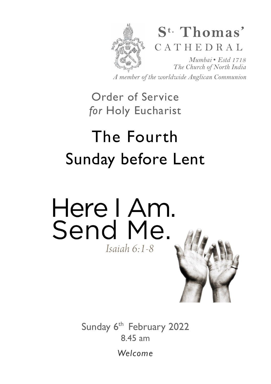

*A member of the worldwide Anglican Communion* 

# Order of Service *for* Holy Eucharist

# The Fourth Sunday before Lent



Sunday 6<sup>th</sup> February 2022 8.45 am

*Welcome*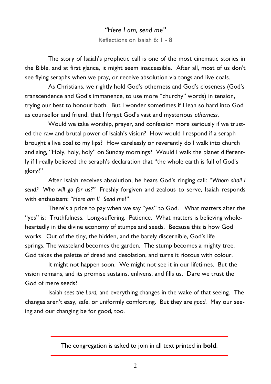*"Here I am, send me"* Reflections on Isaiah 6: 1 - 8

The story of Isaiah's prophetic call is one of the most cinematic stories in the Bible, and at first glance, it might seem inaccessible. After all, most of us don't see flying seraphs when we pray, or receive absolution via tongs and live coals.

As Christians, we rightly hold God's otherness and God's closeness (God's transcendence and God's immanence, to use more "churchy" words) in tension, trying our best to honour both. But I wonder sometimes if I lean so hard into God as counsellor and friend, that I forget God's vast and mysterious *otherness*.

Would we take worship, prayer, and confession more seriously if we trusted the raw and brutal power of Isaiah's vision? How would I respond if a seraph brought a live coal to my lips? How carelessly or reverently do I walk into church and sing, "Holy, holy, holy" on Sunday mornings? Would I walk the planet differently if I really believed the seraph's declaration that "the whole earth is full of God's glory?"

After Isaiah receives absolution, he hears God's ringing call: *"Whom shall I send? Who will go for us?"* Freshly forgiven and zealous to serve, Isaiah responds with enthusiasm: *"Here am I! Send me!"*

There's a price to pay when we say "yes" to God. What matters after the "yes" is: Truthfulness. Long-suffering. Patience. What matters is believing wholeheartedly in the divine economy of stumps and seeds. Because this is how God works. Out of the tiny, the hidden, and the barely discernible, God's life springs. The wasteland becomes the garden. The stump becomes a mighty tree. God takes the palette of dread and desolation, and turns it riotous with colour.

It might not happen soon. We might not see it in our lifetimes. But the vision remains, and its promise sustains, enlivens, and fills us. Dare we trust the God of mere seeds?

Isaiah *sees the Lord,* and everything changes in the wake of that seeing. The changes aren't easy, safe, or uniformly comforting. But they are *good.* May our seeing and our changing be for good, too.

The congregation is asked to join in all text printed in **bold**.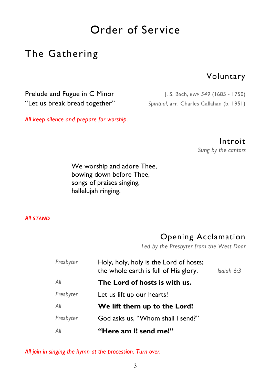# Order of Service

# The Gathering

#### Voluntary

Prelude and Fugue in C Minor J. S. Bach, *BWV 549* (1685 - 1750) "Let us break bread together" *Spiritual*, arr. Charles Callahan (b. 1951)

*All keep silence and prepare for worship.* 

Introit

*Sung by the cantors* 

We worship and adore Thee, bowing down before Thee, songs of praises singing, hallelujah ringing.

#### *All STAND*

## Opening Acclamation

*Led by the Presbyter from the West Door* 

| Presbyter | Holy, holy, holy is the Lord of hosts;<br>the whole earth is full of His glory. | Isaiah 6:3 |
|-----------|---------------------------------------------------------------------------------|------------|
| All       | The Lord of hosts is with us.                                                   |            |
| Presbyter | Let us lift up our hearts!                                                      |            |
| All       | We lift them up to the Lord!                                                    |            |
| Presbyter | God asks us, "Whom shall I send?"                                               |            |
| All       | "Here am I! send me!"                                                           |            |

*All join in singing the hymn at the procession. Turn over.*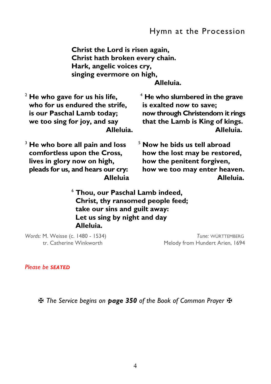**Christ the Lord is risen again, Christ hath broken every chain. Hark, angelic voices cry, singing evermore on high,** 

 **Alleluia.** 

| $2$ He who gave for us his life,   | $4$ He who slumbered in the grave |
|------------------------------------|-----------------------------------|
| who for us endured the strife,     | is exalted now to save;           |
| is our Paschal Lamb today;         | now through Christendom it rings  |
| we too sing for joy, and say       | that the Lamb is King of kings.   |
| Alleluia.                          | Alleluia.                         |
| $3$ He who bore all pain and loss  | $5$ Now he bids us tell abroad    |
| comfortless upon the Cross,        | how the lost may be restored,     |
| lives in glory now on high,        | how the penitent forgiven,        |
| pleads for us, and hears our cry:  | how we too may enter heaven.      |
| <b>Alleluia</b>                    | Alleluia.                         |
| $^6$ Thou, our Paschal Lamb indeed |                                   |

 **Thou, our Paschal Lamb indeed, Christ, thy ransomed people feed; take our sins and guilt away: Let us sing by night and day Alleluia.** 

*Words:* M. Weisse (c. 1480 - 1534) *Tune:* WÜRTTEMBERG

Melody from Hundert Arien, 1694

*Please be SEATED*

✠ *The Service begins on page 350 of the Book of Common Prayer* ✠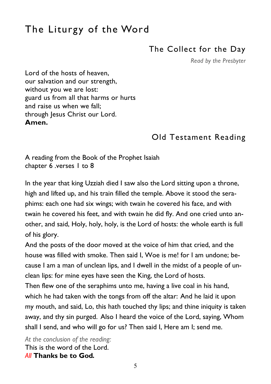# The Liturgy of the Word

## The Collect for the Day

*Read by the Presbyter* 

Lord of the hosts of heaven, our salvation and our strength, without you we are lost: guard us from all that harms or hurts and raise us when we fall; through Jesus Christ our Lord. **Amen.** 

# Old Testament Reading

A reading from the Book of the Prophet Isaiah chapter 6 .verses 1 to 8

In the year that king Uzziah died I saw also the Lord sitting upon a throne, high and lifted up, and his train filled the temple. Above it stood the seraphims: each one had six wings; with twain he covered his face, and with twain he covered his feet, and with twain he did fly. And one cried unto another, and said, Holy, holy, holy, is the Lord of hosts: the whole earth is full of his glory.

And the posts of the door moved at the voice of him that cried, and the house was filled with smoke. Then said I, Woe is me! for I am undone; because I am a man of unclean lips, and I dwell in the midst of a people of unclean lips: for mine eyes have seen the King, the Lord of hosts.

Then flew one of the seraphims unto me, having a live coal in his hand, which he had taken with the tongs from off the altar: And he laid it upon my mouth, and said, Lo, this hath touched thy lips; and thine iniquity is taken away, and thy sin purged. Also I heard the voice of the Lord, saying, Whom shall I send, and who will go for us? Then said I, Here am I; send me.

*At the conclusion of the reading:*  This is the word of the Lord. *All* **Thanks be to God***.*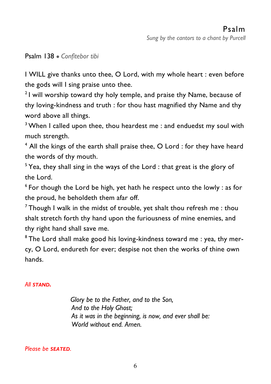#### Psalm 138 ● *Confitebor tibi*

I WILL give thanks unto thee, O Lord, with my whole heart : even before the gods will I sing praise unto thee.

 $21$  will worship toward thy holy temple, and praise thy Name, because of thy loving-kindness and truth : for thou hast magnified thy Name and thy word above all things.

<sup>3</sup> When I called upon thee, thou heardest me : and enduedst my soul with much strength.

4 All the kings of the earth shall praise thee, O Lord : for they have heard the words of thy mouth.

 $5$  Yea, they shall sing in the ways of the Lord : that great is the glory of the Lord.

 $6$  For though the Lord be high, yet hath he respect unto the lowly : as for the proud, he beholdeth them afar off.

<sup>7</sup> Though I walk in the midst of trouble, yet shalt thou refresh me : thou shalt stretch forth thy hand upon the furiousness of mine enemies, and thy right hand shall save me.

<sup>8</sup> The Lord shall make good his loving-kindness toward me : yea, thy mercy, O Lord, endureth for ever; despise not then the works of thine own hands.

#### *All STAND.*

 *Glory be to the Father, and to the Son, And to the Holy Ghost; As it was in the beginning, is now, and ever shall be: World without end. Amen.* 

*Please be SEATED.*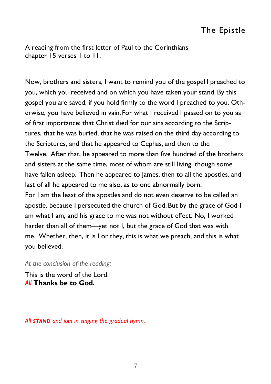A reading from the first letter of Paul to the Corinthians chapter 15 verses 1 to 11.

Now, brothers and sisters, I want to remind you of the gospel I preached to you, which you received and on which you have taken your stand. By this gospel you are saved, if you hold firmly to the word I preached to you. Otherwise, you have believed in vain. For what I received I passed on to you as of first importance: that Christ died for our sins according to the Scriptures, that he was buried, that he was raised on the third day according to the Scriptures, and that he appeared to Cephas, and then to the Twelve. After that, he appeared to more than five hundred of the brothers and sisters at the same time, most of whom are still living, though some have fallen asleep. Then he appeared to James, then to all the apostles, and last of all he appeared to me also, as to one abnormally born. For I am the least of the apostles and do not even deserve to be called an apostle, because I persecuted the church of God.But by the grace of God I am what I am, and his grace to me was not without effect. No, I worked harder than all of them—yet not I, but the grace of God that was with me. Whether, then, it is I or they, this is what we preach, and this is what you believed.

*At the conclusion of the reading:* 

This is the word of the Lord. *All* **Thanks be to God***.* 

*All STAND and join in singing the gradual hymn.*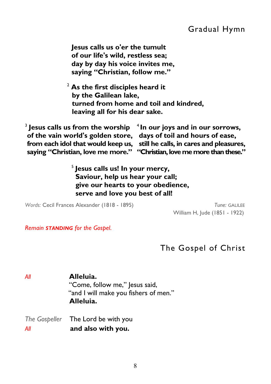**Jesus calls us o'er the tumult of our life's wild, restless sea; day by day his voice invites me, saying "Christian, follow me."**

<sup>2</sup> **As the first disciples heard it by the Galilean lake, turned from home and toil and kindred, leaving all for his dear sake.** 

<sup>3</sup> Jesus calls us from the worship <sup>4</sup> In our joys and in our sorrows,  **of the vain world's golden store, days of toil and hours of ease, from each idol that would keep us, still he calls, in cares and pleasures, saying "Christian, love me more." "Christian, love me more than these."**

> 5 **Jesus calls us! In your mercy, Saviour, help us hear your call; give our hearts to your obedience, serve and love you best of all!**

*Words:* Cecil Frances Alexander (1818 - 1895) *Tune:* GALILEE

William H, Jude (1851 - 1922)

*Remain STANDING for the Gospel.* 

## The Gospel of Christ

*All* **Alleluia.**  "Come, follow me," Jesus said, "and I will make you fishers of men." **Alleluia.** 

*The Gospeller* The Lord be with you *All* **and also with you.**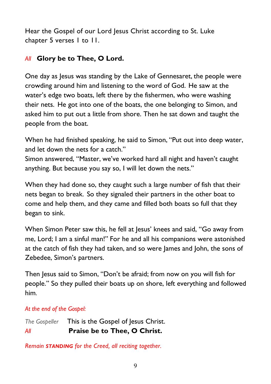Hear the Gospel of our Lord Jesus Christ according to St. Luke chapter 5 verses 1 to 11.

#### *All* **Glory be to Thee, O Lord.**

One day as Jesus was standing by the Lake of Gennesaret, the people were crowding around him and listening to the word of God. He saw at the water's edge two boats, left there by the fishermen, who were washing their nets. He got into one of the boats, the one belonging to Simon, and asked him to put out a little from shore. Then he sat down and taught the people from the boat.

When he had finished speaking, he said to Simon, "Put out into deep water, and let down the nets for a catch."

Simon answered, "Master, we've worked hard all night and haven't caught anything. But because you say so, I will let down the nets."

When they had done so, they caught such a large number of fish that their nets began to break. So they signaled their partners in the other boat to come and help them, and they came and filled both boats so full that they began to sink.

When Simon Peter saw this, he fell at Jesus' knees and said, "Go away from me, Lord; I am a sinful man!" For he and all his companions were astonished at the catch of fish they had taken, and so were James and John, the sons of Zebedee, Simon's partners.

Then Jesus said to Simon, "Don't be afraid; from now on you will fish for people." So they pulled their boats up on shore, left everything and followed him.

#### *At the end of the Gospel:*

*The Gospeller* This is the Gospel of Jesus Christ. *All* **Praise be to Thee, O Christ.** 

*Remain STANDING for the Creed, all reciting together.*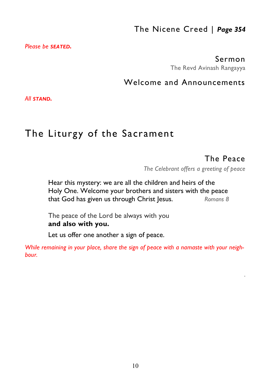# The Nicene Creed | *Page 354*

*Please be SEATED.* 

#### Sermon

The Revd Avinash Rangayya

#### Welcome and Announcements

*All STAND.* 

# The Liturgy of the Sacrament

## The Peace

*.* 

*The Celebrant offers a greeting of peace* 

 Hear this mystery: we are all the children and heirs of the Holy One. Welcome your brothers and sisters with the peace that God has given us through Christ Jesus. *Romans 8*

The peace of the Lord be always with you  **and also with you.** 

Let us offer one another a sign of peace.

*While remaining in your place, share the sign of peace with a namaste with your neighbour.*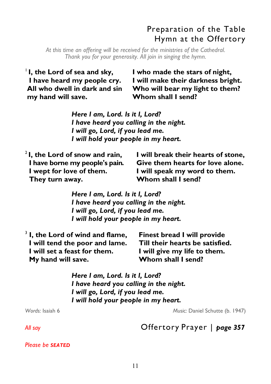# Preparation of the Table Hymn at the Offertory

*At this time an offering will be received for the ministries of the Cathedral. Thank you for your generosity. All join in singing the hymn.* 

<sup>1</sup>**I, the Lord of sea and sky, I have heard my people cry. All who dwell in dark and sin my hand will save.** 

**I who made the stars of night, I will make their darkness bright. Who will bear my light to them? Whom shall I send?** 

*Here I am, Lord. Is it I, Lord? I have heard you calling in the night. I will go, Lord, if you lead me. I will hold your people in my heart.* 

<sup>2</sup>**I, the Lord of snow and rain, I have borne my people's pain. I wept for love of them. They turn away.** 

 **I will break their hearts of stone, Give them hearts for love alone. I will speak my word to them. Whom shall I send?** 

*Here I am, Lord. Is it I, Lord? I have heard you calling in the night. I will go, Lord, if you lead me. I will hold your people in my heart.* 

| $3$ I, the Lord of wind and flame, | <b>Finest bread I will provide</b> |
|------------------------------------|------------------------------------|
| I will tend the poor and lame.     | Till their hearts be satisfied.    |
| I will set a feast for them.       | I will give my life to them.       |
| My hand will save.                 | Whom shall I send?                 |

*Here I am, Lord. Is it I, Lord? I have heard you calling in the night. I will go, Lord, if you lead me. I will hold your people in my heart.* 

*Words:* Isaiah 6 *Music:* Daniel Schutte (b. 1947)

*All say* Offertory Prayer | *page 357* 

*Please be SEATED*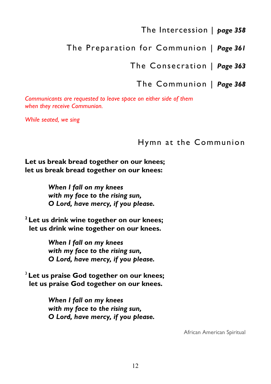#### The Intercession | *page 358*

# The Preparation for Communion | *Page 361*

The Consecration | *Page 363* 

#### The Communion | *Page 368*

*Communicants are requested to leave space on either side of them when they receive Communion.* 

*While seated, we sing* 

#### Hymn at the Communion

**Let us break bread together on our knees; let us break bread together on our knees:** 

> *When I fall on my knees with my face to the rising sun, O Lord, have mercy, if you please.*

**<sup>2</sup>Let us drink wine together on our knees; let us drink wine together on our knees.** 

> *When I fall on my knees with my face to the rising sun, O Lord, have mercy, if you please.*

<sup>3</sup>**Let us praise God together on our knees; let us praise God together on our knees.** 

> *When I fall on my knees with my face to the rising sun, O Lord, have mercy, if you please.*

> > African American Spiritual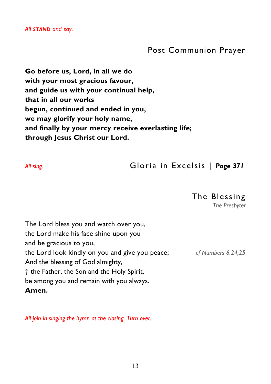*All STAND and say.* 

#### Post Communion Prayer

**Go before us, Lord, in all we do with your most gracious favour, and guide us with your continual help, that in all our works begun, continued and ended in you, we may glorify your holy name, and finally by your mercy receive everlasting life; through Jesus Christ our Lord.** 

*All sing.* Gloria in Excelsis | *Page 371*

#### The Blessing

*The Presbyter* 

The Lord bless you and watch over you, the Lord make his face shine upon you and be gracious to you, the Lord look kindly on you and give you peace; *cf Numbers 6.24,25*  And the blessing of God almighty, † the Father, the Son and the Holy Spirit, be among you and remain with you always. **Amen.** 

*All join in singing the hymn at the closing. Turn over.*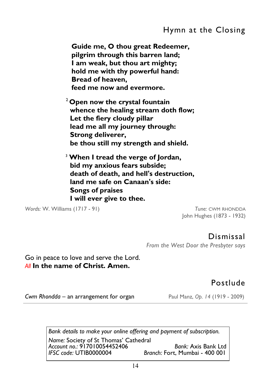# Hymn at the Closing

**Guide me, O thou great Redeemer, pilgrim through this barren land; I am weak, but thou art mighty; hold me with thy powerful hand: Bread of heaven, feed me now and evermore.** 

<sup>2</sup>**Open now the crystal fountain whence the healing stream doth flow; Let the fiery cloudy pillar lead me all my journey through: Strong deliverer, be thou still my strength and shield.** 

<sup>3</sup> **When I tread the verge of Jordan, bid my anxious fears subside; death of death, and hell's destruction, land me safe on Canaan's side: Songs of praises I will ever give to thee.** 

*Words:* W. Williams (1717 - 91) *Tune:* CWM RHONDDA

John Hughes (1873 - 1932)

Dismissal *From the West Door the Presbyter says* 

Go in peace to love and serve the Lord. *All* **In the name of Christ. Amen.** 

## Postlude

*Cwm Rhondda* – an arrangement for organ Paul Manz, *Op. 14* (1919 - 2009)

*Bank details to make your online offering and payment of subscription.* 

*Name:* Society of St Thomas' Cathedral *Account no.:* 917010054452406 *Bank:* Axis Bank Ltd *Branch: Fort, Mumbai - 400 001*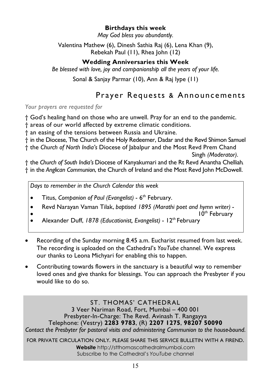#### **Birthdays this week**

*May God bless you abundantly.* 

Valentina Mathew (6), Dinesh Sathia Raj (6), Lena Khan (9), Rebekah Paul (11), Rhea John (12)

#### **Wedding Anniversaries this Week**

*Be blessed with love, joy and companionship all the years of your life.* 

Sonal & Sanjay Parmar (10), Ann & Raj Iype (11)

# Prayer Requests & Announcements

*Your prayers are requested for* 

† God's healing hand on those who are unwell. Pray for an end to the pandemic.

† areas of our world affected by extreme climatic conditions.

† an easing of the tensions between Russia and Ukraine.

† in the Diocese, The Church of the Holy Redeemer, Dadar and the Revd Shimon Samuel

† the *Church of North India's* Diocese of Jabalpur and the Most Revd Prem Chand

Singh *(Moderator)*.

† the *Church of South India's* Diocese of Kanyakumari and the Rt Revd Anantha Chelliah. † in the *Anglican Communion*, the Church of Ireland and the Most Revd John McDowell.

*Days to remember in the Church Calendar this week* 

Titus, *Companion of Paul (Evangelist)* - 6<sup>th</sup> February.

Revd Narayan Vaman Tilak, *baptised 1895 (Marathi poet and hymn writer)* -

 $10^{\text{th}}$  February

- Alexander Duff, *1878 (Educationist, Evangelist)* 12<sup>th</sup> February
- Recording of the Sunday morning 8.45 a.m. Eucharist resumed from last week. The recording is uploaded on the Cathedral's *YouTube* channel. We express our thanks to Leona Michyari for enabling this to happen.
- Contributing towards flowers in the sanctuary is a beautiful way to remember loved ones and give thanks for blessings. You can approach the Presbyter if you would like to do so.

ST. THOMAS' CATHEDRAL 3 Veer Nariman Road, Fort, Mumbai – 400 001 Presbyter-In-Charge: The Revd. Avinash T. Rangayya Telephone: (Vestry) **2283 9783**, (R) **2207 1275**, **98207 50090**  *Contact the Presbyter for pastoral visits and administering Communion to the house-bound.* FOR PRIVATE CIRCULATION ONLY. PLEASE SHARE THIS SERVICE BULLETIN WITH A FIREND.

> **Website** http://stthomascathedralmumbai.com Subscribe to the Cathedral's *YouTube* channel